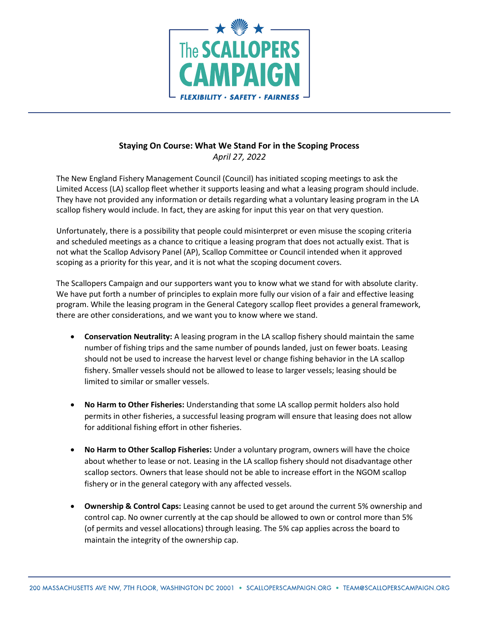

## **Staying On Course: What We Stand For in the Scoping Process** *April 27, 2022*

The New England Fishery Management Council (Council) has initiated scoping meetings to ask the Limited Access (LA) scallop fleet whether it supports leasing and what a leasing program should include. They have not provided any information or details regarding what a voluntary leasing program in the LA scallop fishery would include. In fact, they are asking for input this year on that very question.

Unfortunately, there is a possibility that people could misinterpret or even misuse the scoping criteria and scheduled meetings as a chance to critique a leasing program that does not actually exist. That is not what the Scallop Advisory Panel (AP), Scallop Committee or Council intended when it approved scoping as a priority for this year, and it is not what the scoping document covers.

The Scallopers Campaign and our supporters want you to know what we stand for with absolute clarity. We have put forth a number of principles to explain more fully our vision of a fair and effective leasing program. While the leasing program in the General Category scallop fleet provides a general framework, there are other considerations, and we want you to know where we stand.

- **Conservation Neutrality:** A leasing program in the LA scallop fishery should maintain the same number of fishing trips and the same number of pounds landed, just on fewer boats. Leasing should not be used to increase the harvest level or change fishing behavior in the LA scallop fishery. Smaller vessels should not be allowed to lease to larger vessels; leasing should be limited to similar or smaller vessels.
- **No Harm to Other Fisheries:** Understanding that some LA scallop permit holders also hold permits in other fisheries, a successful leasing program will ensure that leasing does not allow for additional fishing effort in other fisheries.
- **No Harm to Other Scallop Fisheries:** Under a voluntary program, owners will have the choice about whether to lease or not. Leasing in the LA scallop fishery should not disadvantage other scallop sectors. Owners that lease should not be able to increase effort in the NGOM scallop fishery or in the general category with any affected vessels.
- **Ownership & Control Caps:** Leasing cannot be used to get around the current 5% ownership and control cap. No owner currently at the cap should be allowed to own or control more than 5% (of permits and vessel allocations) through leasing. The 5% cap applies across the board to maintain the integrity of the ownership cap.